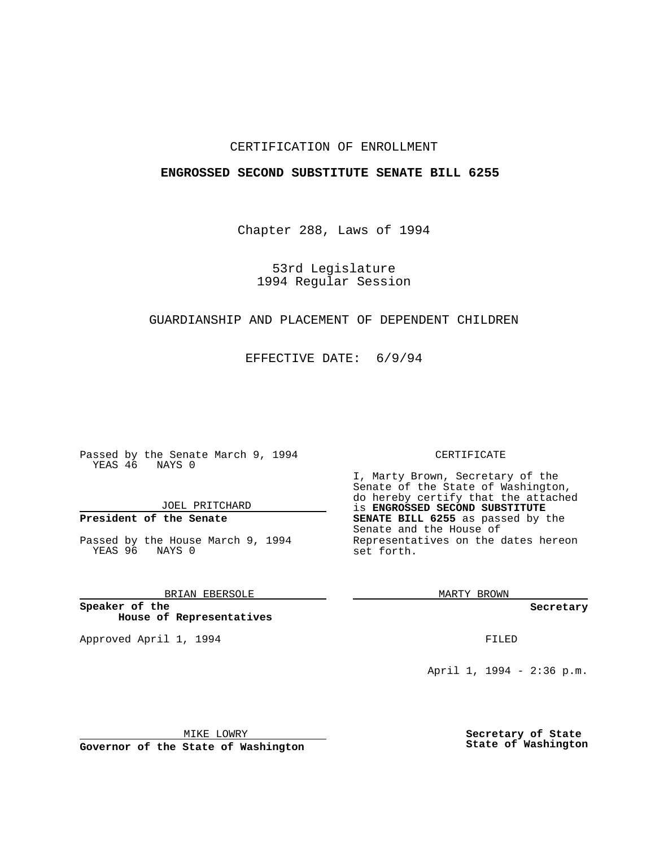## CERTIFICATION OF ENROLLMENT

## **ENGROSSED SECOND SUBSTITUTE SENATE BILL 6255**

Chapter 288, Laws of 1994

53rd Legislature 1994 Regular Session

## GUARDIANSHIP AND PLACEMENT OF DEPENDENT CHILDREN

EFFECTIVE DATE: 6/9/94

Passed by the Senate March 9, 1994 YEAS 46 NAYS 0

JOEL PRITCHARD

# **President of the Senate**

Passed by the House March 9, 1994 YEAS 96 NAYS 0

BRIAN EBERSOLE

**Speaker of the House of Representatives**

Approved April 1, 1994 **FILED** 

#### CERTIFICATE

I, Marty Brown, Secretary of the Senate of the State of Washington, do hereby certify that the attached is **ENGROSSED SECOND SUBSTITUTE SENATE BILL 6255** as passed by the Senate and the House of Representatives on the dates hereon set forth.

MARTY BROWN

**Secretary**

April 1, 1994 - 2:36 p.m.

MIKE LOWRY

**Governor of the State of Washington**

**Secretary of State State of Washington**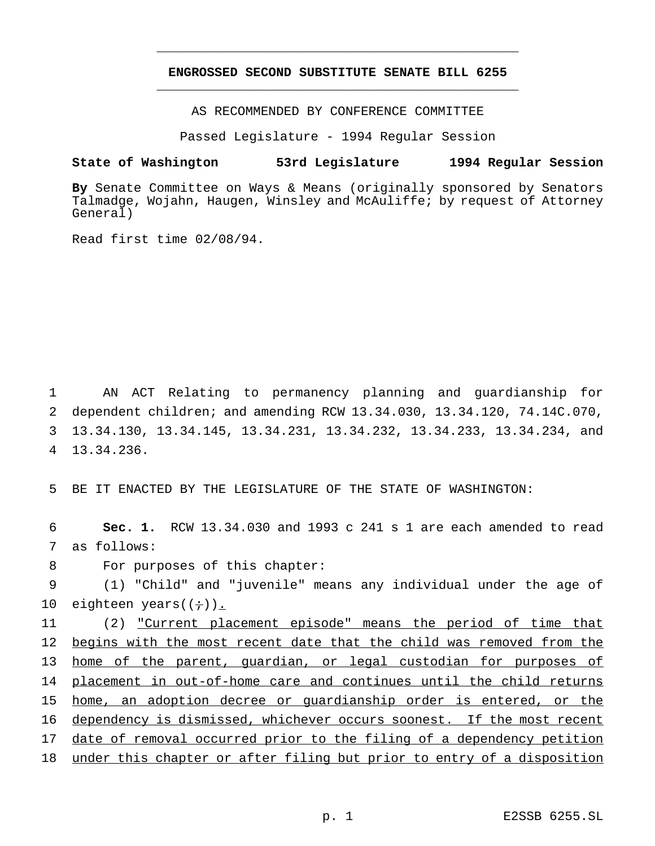# **ENGROSSED SECOND SUBSTITUTE SENATE BILL 6255** \_\_\_\_\_\_\_\_\_\_\_\_\_\_\_\_\_\_\_\_\_\_\_\_\_\_\_\_\_\_\_\_\_\_\_\_\_\_\_\_\_\_\_\_\_\_\_

\_\_\_\_\_\_\_\_\_\_\_\_\_\_\_\_\_\_\_\_\_\_\_\_\_\_\_\_\_\_\_\_\_\_\_\_\_\_\_\_\_\_\_\_\_\_\_

AS RECOMMENDED BY CONFERENCE COMMITTEE

Passed Legislature - 1994 Regular Session

#### **State of Washington 53rd Legislature 1994 Regular Session**

**By** Senate Committee on Ways & Means (originally sponsored by Senators Talmadge, Wojahn, Haugen, Winsley and McAuliffe; by request of Attorney General)

Read first time 02/08/94.

 AN ACT Relating to permanency planning and guardianship for dependent children; and amending RCW 13.34.030, 13.34.120, 74.14C.070, 13.34.130, 13.34.145, 13.34.231, 13.34.232, 13.34.233, 13.34.234, and 13.34.236.

5 BE IT ENACTED BY THE LEGISLATURE OF THE STATE OF WASHINGTON:

6 **Sec. 1.** RCW 13.34.030 and 1993 c 241 s 1 are each amended to read 7 as follows:

8 For purposes of this chapter:

9 (1) "Child" and "juvenile" means any individual under the age of 10 eighteen years( $(+)$ ).

 (2) "Current placement episode" means the period of time that begins with the most recent date that the child was removed from the home of the parent, guardian, or legal custodian for purposes of 14 placement in out-of-home care and continues until the child returns home, an adoption decree or guardianship order is entered, or the dependency is dismissed, whichever occurs soonest. If the most recent 17 date of removal occurred prior to the filing of a dependency petition under this chapter or after filing but prior to entry of a disposition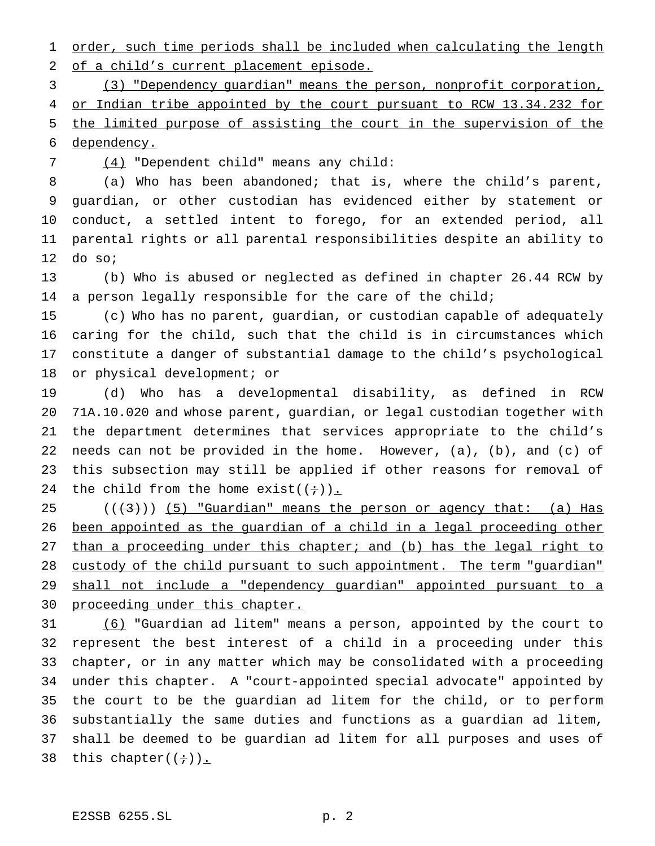1 order, such time periods shall be included when calculating the length of a child's current placement episode.

 (3) "Dependency guardian" means the person, nonprofit corporation, 4 or Indian tribe appointed by the court pursuant to RCW 13.34.232 for the limited purpose of assisting the court in the supervision of the dependency.

(4) "Dependent child" means any child:

 (a) Who has been abandoned; that is, where the child's parent, guardian, or other custodian has evidenced either by statement or conduct, a settled intent to forego, for an extended period, all parental rights or all parental responsibilities despite an ability to do so;

 (b) Who is abused or neglected as defined in chapter 26.44 RCW by a person legally responsible for the care of the child;

 (c) Who has no parent, guardian, or custodian capable of adequately caring for the child, such that the child is in circumstances which constitute a danger of substantial damage to the child's psychological or physical development; or

 (d) Who has a developmental disability, as defined in RCW 71A.10.020 and whose parent, guardian, or legal custodian together with the department determines that services appropriate to the child's needs can not be provided in the home. However, (a), (b), and (c) of this subsection may still be applied if other reasons for removal of 24 the child from the home exist( $(+)$ ).

 ( $(\frac{43}{})$ ) (5) "Guardian" means the person or agency that: (a) Has been appointed as the guardian of a child in a legal proceeding other than a proceeding under this chapter; and (b) has the legal right to 28 custody of the child pursuant to such appointment. The term "guardian" shall not include a "dependency guardian" appointed pursuant to a 30 proceeding under this chapter.

 (6) "Guardian ad litem" means a person, appointed by the court to represent the best interest of a child in a proceeding under this chapter, or in any matter which may be consolidated with a proceeding under this chapter. A "court-appointed special advocate" appointed by the court to be the guardian ad litem for the child, or to perform substantially the same duties and functions as a guardian ad litem, shall be deemed to be guardian ad litem for all purposes and uses of 38 this chapter( $(i)$ ).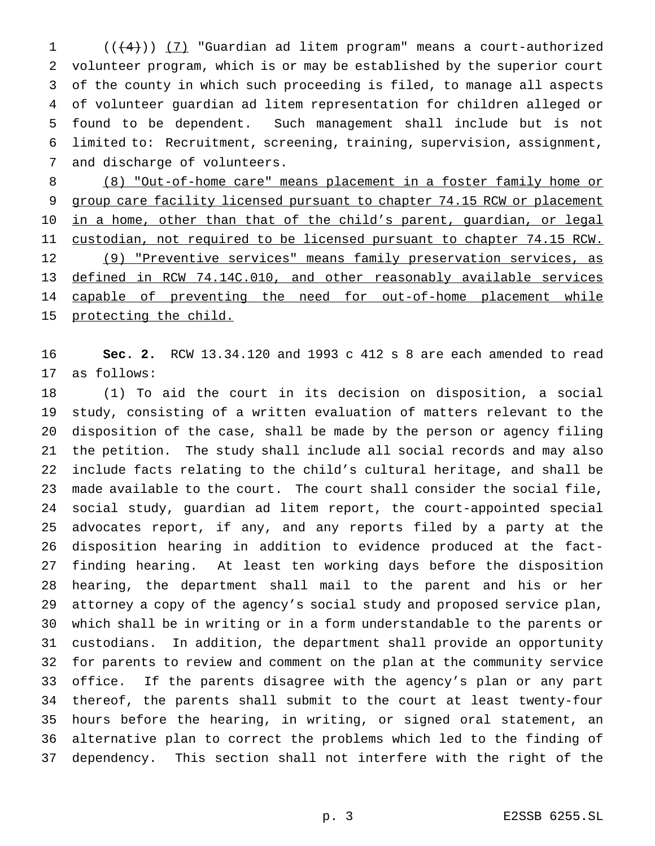$((+4))$   $(7)$  "Guardian ad litem program" means a court-authorized volunteer program, which is or may be established by the superior court of the county in which such proceeding is filed, to manage all aspects of volunteer guardian ad litem representation for children alleged or found to be dependent. Such management shall include but is not limited to: Recruitment, screening, training, supervision, assignment, and discharge of volunteers.

 (8) "Out-of-home care" means placement in a foster family home or 9 group care facility licensed pursuant to chapter 74.15 RCW or placement 10 in a home, other than that of the child's parent, guardian, or legal 11 custodian, not required to be licensed pursuant to chapter 74.15 RCW. 12 (9) "Preventive services" means family preservation services, as 13 defined in RCW 74.14C.010, and other reasonably available services 14 capable of preventing the need for out-of-home placement while 15 protecting the child.

 **Sec. 2.** RCW 13.34.120 and 1993 c 412 s 8 are each amended to read as follows:

 (1) To aid the court in its decision on disposition, a social study, consisting of a written evaluation of matters relevant to the disposition of the case, shall be made by the person or agency filing the petition. The study shall include all social records and may also include facts relating to the child's cultural heritage, and shall be made available to the court. The court shall consider the social file, social study, guardian ad litem report, the court-appointed special advocates report, if any, and any reports filed by a party at the disposition hearing in addition to evidence produced at the fact- finding hearing. At least ten working days before the disposition hearing, the department shall mail to the parent and his or her attorney a copy of the agency's social study and proposed service plan, which shall be in writing or in a form understandable to the parents or custodians. In addition, the department shall provide an opportunity for parents to review and comment on the plan at the community service office. If the parents disagree with the agency's plan or any part thereof, the parents shall submit to the court at least twenty-four hours before the hearing, in writing, or signed oral statement, an alternative plan to correct the problems which led to the finding of dependency. This section shall not interfere with the right of the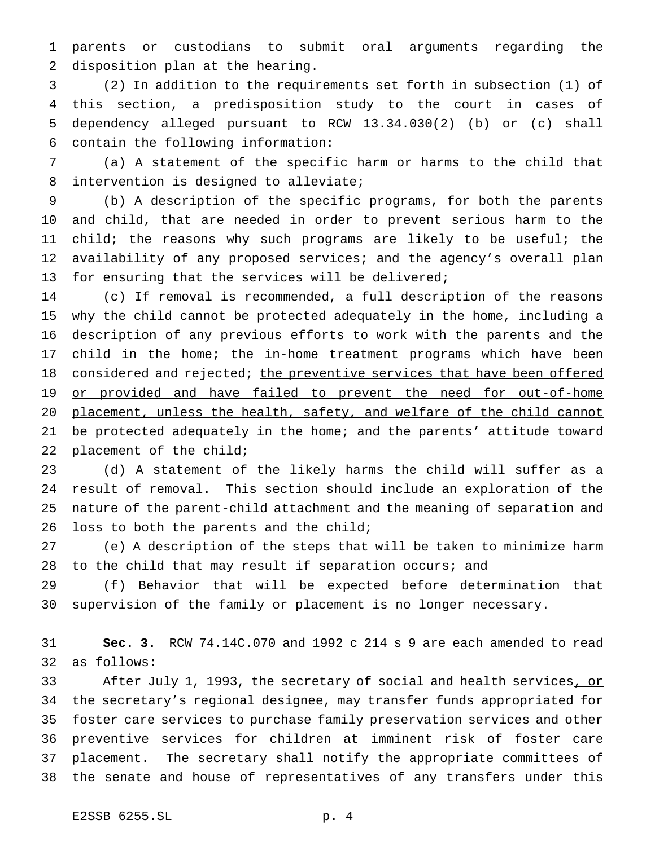parents or custodians to submit oral arguments regarding the disposition plan at the hearing.

 (2) In addition to the requirements set forth in subsection (1) of this section, a predisposition study to the court in cases of dependency alleged pursuant to RCW 13.34.030(2) (b) or (c) shall contain the following information:

 (a) A statement of the specific harm or harms to the child that intervention is designed to alleviate;

 (b) A description of the specific programs, for both the parents and child, that are needed in order to prevent serious harm to the child; the reasons why such programs are likely to be useful; the availability of any proposed services; and the agency's overall plan for ensuring that the services will be delivered;

 (c) If removal is recommended, a full description of the reasons why the child cannot be protected adequately in the home, including a description of any previous efforts to work with the parents and the child in the home; the in-home treatment programs which have been 18 considered and rejected; the preventive services that have been offered 19 or provided and have failed to prevent the need for out-of-home 20 placement, unless the health, safety, and welfare of the child cannot 21 be protected adequately in the home; and the parents' attitude toward placement of the child;

 (d) A statement of the likely harms the child will suffer as a result of removal. This section should include an exploration of the nature of the parent-child attachment and the meaning of separation and loss to both the parents and the child;

 (e) A description of the steps that will be taken to minimize harm to the child that may result if separation occurs; and

 (f) Behavior that will be expected before determination that supervision of the family or placement is no longer necessary.

 **Sec. 3.** RCW 74.14C.070 and 1992 c 214 s 9 are each amended to read as follows:

33 After July 1, 1993, the secretary of social and health services, or 34 the secretary's regional designee, may transfer funds appropriated for 35 foster care services to purchase family preservation services and other 36 preventive services for children at imminent risk of foster care placement. The secretary shall notify the appropriate committees of the senate and house of representatives of any transfers under this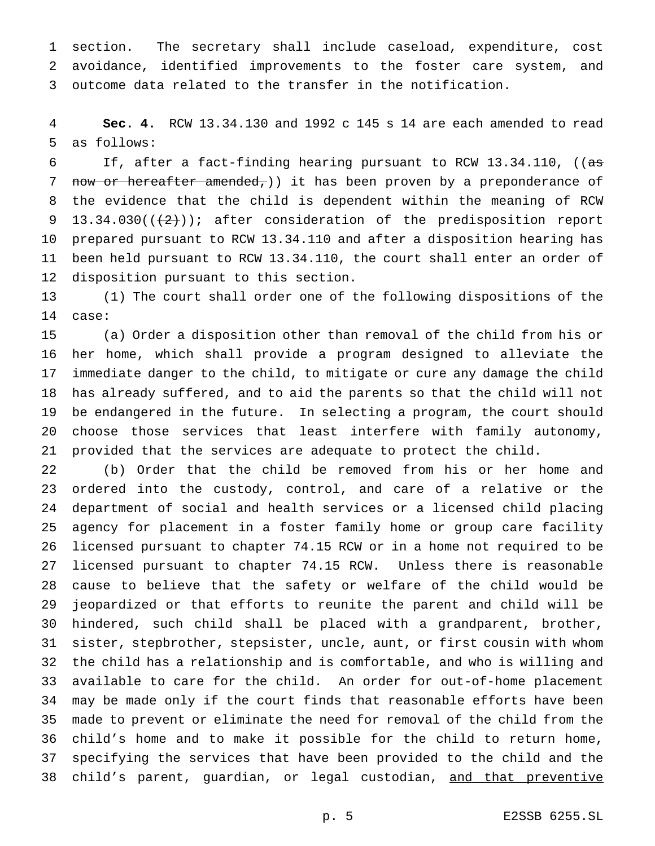section. The secretary shall include caseload, expenditure, cost avoidance, identified improvements to the foster care system, and outcome data related to the transfer in the notification.

 **Sec. 4.** RCW 13.34.130 and 1992 c 145 s 14 are each amended to read as follows:

 If, after a fact-finding hearing pursuant to RCW 13.34.110, ((as 7 now or hereafter amended, ) it has been proven by a preponderance of the evidence that the child is dependent within the meaning of RCW 9 13.34.030( $(\frac{2}{2})$ ); after consideration of the predisposition report prepared pursuant to RCW 13.34.110 and after a disposition hearing has been held pursuant to RCW 13.34.110, the court shall enter an order of disposition pursuant to this section.

 (1) The court shall order one of the following dispositions of the case:

 (a) Order a disposition other than removal of the child from his or her home, which shall provide a program designed to alleviate the immediate danger to the child, to mitigate or cure any damage the child has already suffered, and to aid the parents so that the child will not be endangered in the future. In selecting a program, the court should choose those services that least interfere with family autonomy, provided that the services are adequate to protect the child.

 (b) Order that the child be removed from his or her home and ordered into the custody, control, and care of a relative or the department of social and health services or a licensed child placing agency for placement in a foster family home or group care facility licensed pursuant to chapter 74.15 RCW or in a home not required to be licensed pursuant to chapter 74.15 RCW. Unless there is reasonable cause to believe that the safety or welfare of the child would be jeopardized or that efforts to reunite the parent and child will be hindered, such child shall be placed with a grandparent, brother, sister, stepbrother, stepsister, uncle, aunt, or first cousin with whom the child has a relationship and is comfortable, and who is willing and available to care for the child. An order for out-of-home placement may be made only if the court finds that reasonable efforts have been made to prevent or eliminate the need for removal of the child from the child's home and to make it possible for the child to return home, specifying the services that have been provided to the child and the 38 child's parent, guardian, or legal custodian, and that preventive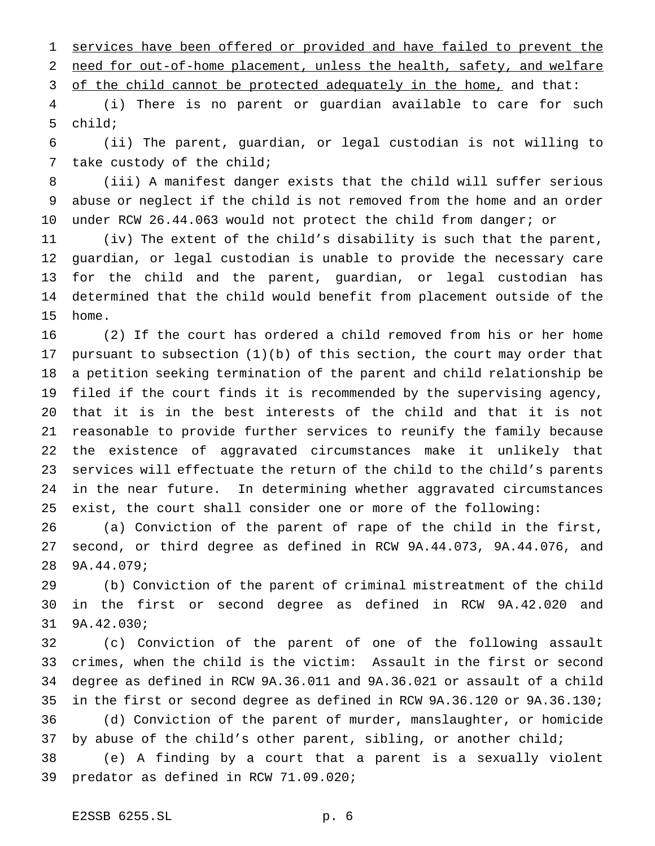services have been offered or provided and have failed to prevent the need for out-of-home placement, unless the health, safety, and welfare

3 of the child cannot be protected adequately in the home, and that:

 (i) There is no parent or guardian available to care for such child;

 (ii) The parent, guardian, or legal custodian is not willing to take custody of the child;

 (iii) A manifest danger exists that the child will suffer serious abuse or neglect if the child is not removed from the home and an order under RCW 26.44.063 would not protect the child from danger; or

 (iv) The extent of the child's disability is such that the parent, guardian, or legal custodian is unable to provide the necessary care for the child and the parent, guardian, or legal custodian has determined that the child would benefit from placement outside of the home.

 (2) If the court has ordered a child removed from his or her home pursuant to subsection (1)(b) of this section, the court may order that a petition seeking termination of the parent and child relationship be filed if the court finds it is recommended by the supervising agency, that it is in the best interests of the child and that it is not reasonable to provide further services to reunify the family because the existence of aggravated circumstances make it unlikely that services will effectuate the return of the child to the child's parents in the near future. In determining whether aggravated circumstances exist, the court shall consider one or more of the following:

 (a) Conviction of the parent of rape of the child in the first, second, or third degree as defined in RCW 9A.44.073, 9A.44.076, and 9A.44.079;

 (b) Conviction of the parent of criminal mistreatment of the child in the first or second degree as defined in RCW 9A.42.020 and 9A.42.030;

 (c) Conviction of the parent of one of the following assault crimes, when the child is the victim: Assault in the first or second degree as defined in RCW 9A.36.011 and 9A.36.021 or assault of a child in the first or second degree as defined in RCW 9A.36.120 or 9A.36.130; (d) Conviction of the parent of murder, manslaughter, or homicide 37 by abuse of the child's other parent, sibling, or another child;

 (e) A finding by a court that a parent is a sexually violent predator as defined in RCW 71.09.020;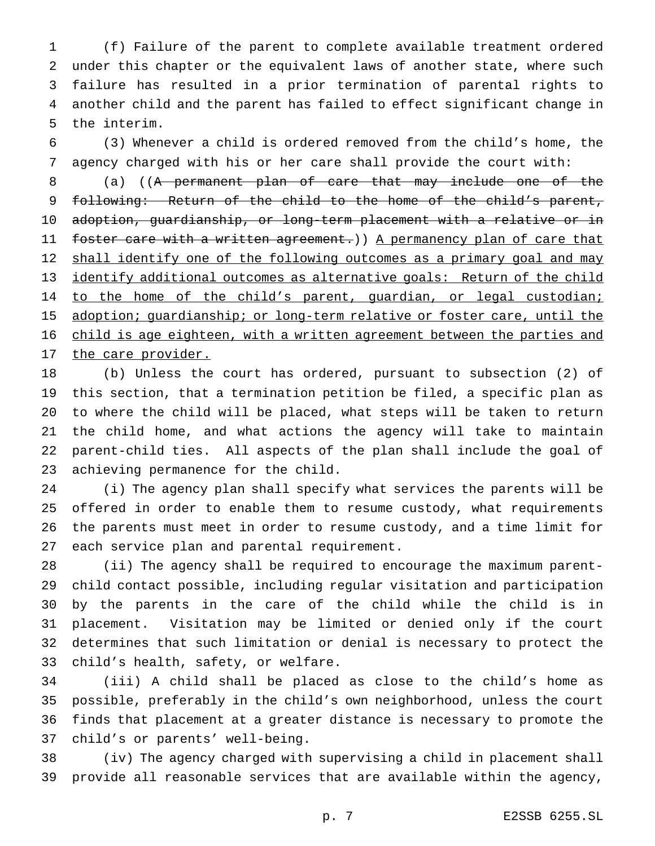(f) Failure of the parent to complete available treatment ordered under this chapter or the equivalent laws of another state, where such failure has resulted in a prior termination of parental rights to another child and the parent has failed to effect significant change in the interim.

 (3) Whenever a child is ordered removed from the child's home, the agency charged with his or her care shall provide the court with:

 (a) ((A permanent plan of care that may include one of the following: Return of the child to the home of the child's parent, adoption, guardianship, or long-term placement with a relative or in 11 foster care with a written agreement.)) A permanency plan of care that 12 shall identify one of the following outcomes as a primary goal and may 13 identify additional outcomes as alternative goals: Return of the child 14 to the home of the child's parent, guardian, or legal custodian; 15 adoption; guardianship; or long-term relative or foster care, until the child is age eighteen, with a written agreement between the parties and 17 the care provider.

 (b) Unless the court has ordered, pursuant to subsection (2) of this section, that a termination petition be filed, a specific plan as to where the child will be placed, what steps will be taken to return the child home, and what actions the agency will take to maintain parent-child ties. All aspects of the plan shall include the goal of achieving permanence for the child.

 (i) The agency plan shall specify what services the parents will be offered in order to enable them to resume custody, what requirements the parents must meet in order to resume custody, and a time limit for each service plan and parental requirement.

 (ii) The agency shall be required to encourage the maximum parent- child contact possible, including regular visitation and participation by the parents in the care of the child while the child is in placement. Visitation may be limited or denied only if the court determines that such limitation or denial is necessary to protect the child's health, safety, or welfare.

 (iii) A child shall be placed as close to the child's home as possible, preferably in the child's own neighborhood, unless the court finds that placement at a greater distance is necessary to promote the child's or parents' well-being.

 (iv) The agency charged with supervising a child in placement shall provide all reasonable services that are available within the agency,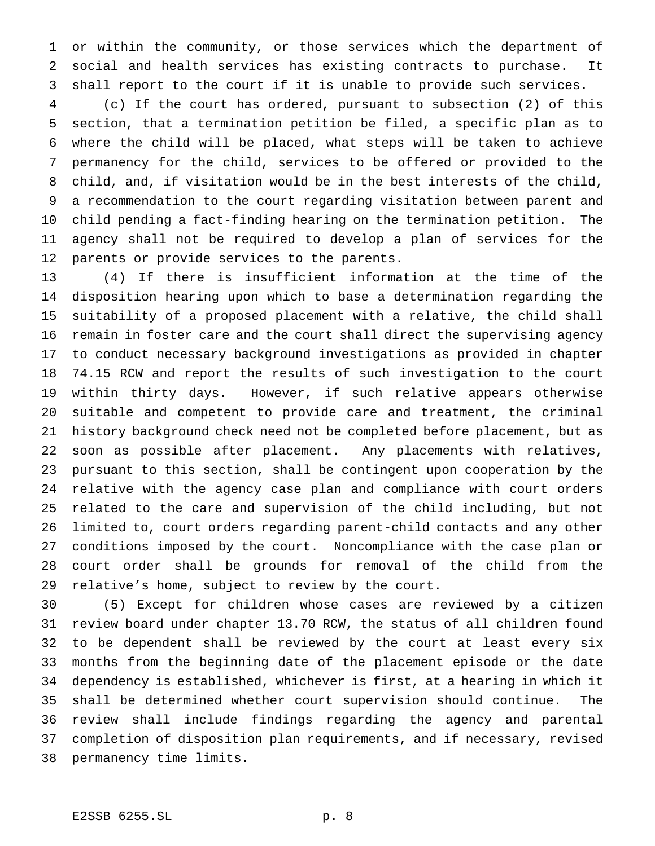or within the community, or those services which the department of social and health services has existing contracts to purchase. It shall report to the court if it is unable to provide such services.

 (c) If the court has ordered, pursuant to subsection (2) of this section, that a termination petition be filed, a specific plan as to where the child will be placed, what steps will be taken to achieve permanency for the child, services to be offered or provided to the child, and, if visitation would be in the best interests of the child, a recommendation to the court regarding visitation between parent and child pending a fact-finding hearing on the termination petition. The agency shall not be required to develop a plan of services for the parents or provide services to the parents.

 (4) If there is insufficient information at the time of the disposition hearing upon which to base a determination regarding the suitability of a proposed placement with a relative, the child shall remain in foster care and the court shall direct the supervising agency to conduct necessary background investigations as provided in chapter 74.15 RCW and report the results of such investigation to the court within thirty days. However, if such relative appears otherwise suitable and competent to provide care and treatment, the criminal history background check need not be completed before placement, but as soon as possible after placement. Any placements with relatives, pursuant to this section, shall be contingent upon cooperation by the relative with the agency case plan and compliance with court orders related to the care and supervision of the child including, but not limited to, court orders regarding parent-child contacts and any other conditions imposed by the court. Noncompliance with the case plan or court order shall be grounds for removal of the child from the relative's home, subject to review by the court.

 (5) Except for children whose cases are reviewed by a citizen review board under chapter 13.70 RCW, the status of all children found to be dependent shall be reviewed by the court at least every six months from the beginning date of the placement episode or the date dependency is established, whichever is first, at a hearing in which it shall be determined whether court supervision should continue. The review shall include findings regarding the agency and parental completion of disposition plan requirements, and if necessary, revised permanency time limits.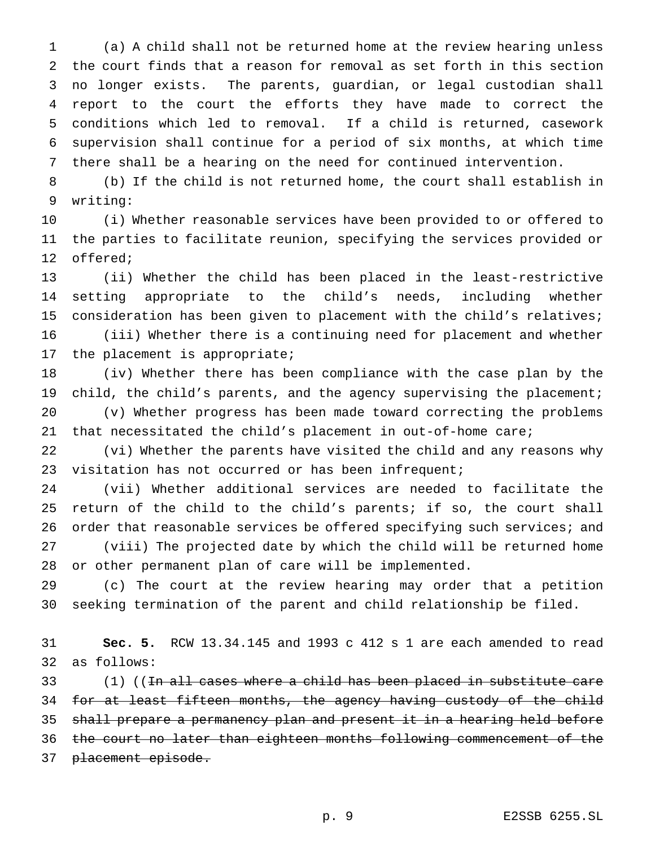(a) A child shall not be returned home at the review hearing unless the court finds that a reason for removal as set forth in this section no longer exists. The parents, guardian, or legal custodian shall report to the court the efforts they have made to correct the conditions which led to removal. If a child is returned, casework supervision shall continue for a period of six months, at which time there shall be a hearing on the need for continued intervention.

 (b) If the child is not returned home, the court shall establish in writing:

 (i) Whether reasonable services have been provided to or offered to the parties to facilitate reunion, specifying the services provided or offered;

 (ii) Whether the child has been placed in the least-restrictive setting appropriate to the child's needs, including whether consideration has been given to placement with the child's relatives; (iii) Whether there is a continuing need for placement and whether the placement is appropriate;

 (iv) Whether there has been compliance with the case plan by the 19 child, the child's parents, and the agency supervising the placement; (v) Whether progress has been made toward correcting the problems that necessitated the child's placement in out-of-home care;

 (vi) Whether the parents have visited the child and any reasons why visitation has not occurred or has been infrequent;

 (vii) Whether additional services are needed to facilitate the return of the child to the child's parents; if so, the court shall 26 order that reasonable services be offered specifying such services; and (viii) The projected date by which the child will be returned home or other permanent plan of care will be implemented.

 (c) The court at the review hearing may order that a petition seeking termination of the parent and child relationship be filed.

 **Sec. 5.** RCW 13.34.145 and 1993 c 412 s 1 are each amended to read as follows:

33 (1) ((In all cases where a child has been placed in substitute care 34 for at least fifteen months, the agency having custody of the child shall prepare a permanency plan and present it in a hearing held before the court no later than eighteen months following commencement of the 37 placement episode.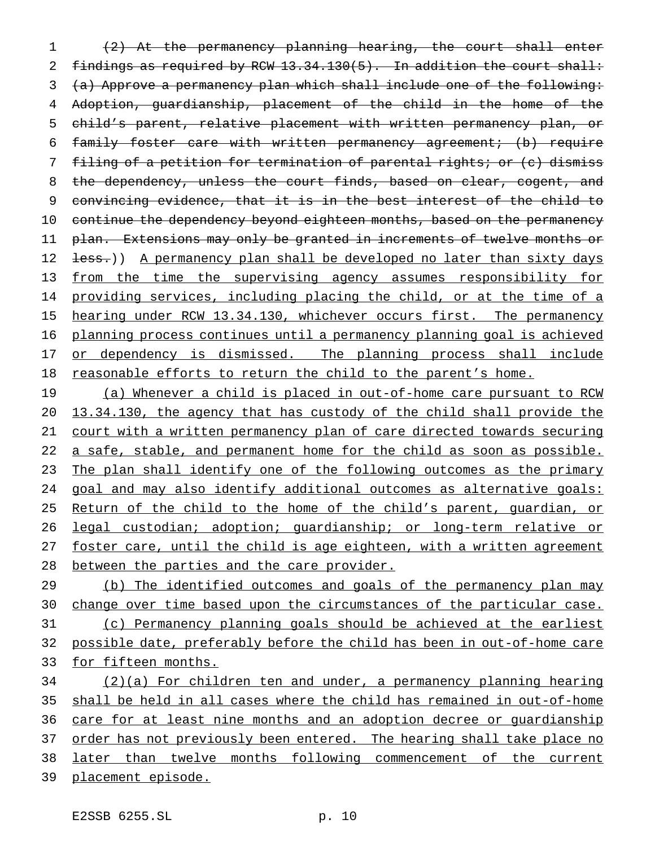(2) At the permanency planning hearing, the court shall enter 2 findings as required by RCW  $13.34.130(5)$ . In addition the court shall: (a) Approve a permanency plan which shall include one of the following: Adoption, guardianship, placement of the child in the home of the child's parent, relative placement with written permanency plan, or family foster care with written permanency agreement; (b) require filing of a petition for termination of parental rights; or (c) dismiss 8 the dependency, unless the court finds, based on clear, cogent, and convincing evidence, that it is in the best interest of the child to 10 continue the dependency beyond eighteen months, based on the permanency plan. Extensions may only be granted in increments of twelve months or 12 <del>less.</del>)) A permanency plan shall be developed no later than sixty days 13 from the time the supervising agency assumes responsibility for providing services, including placing the child, or at the time of a 15 hearing under RCW 13.34.130, whichever occurs first. The permanency planning process continues until a permanency planning goal is achieved 17 or dependency is dismissed. The planning process shall include reasonable efforts to return the child to the parent's home.

19 (a) Whenever a child is placed in out-of-home care pursuant to RCW 13.34.130, the agency that has custody of the child shall provide the court with a written permanency plan of care directed towards securing 22 a safe, stable, and permanent home for the child as soon as possible. The plan shall identify one of the following outcomes as the primary goal and may also identify additional outcomes as alternative goals: 25 Return of the child to the home of the child's parent, guardian, or legal custodian; adoption; guardianship; or long-term relative or foster care, until the child is age eighteen, with a written agreement between the parties and the care provider.

29 (b) The identified outcomes and goals of the permanency plan may 30 change over time based upon the circumstances of the particular case. (c) Permanency planning goals should be achieved at the earliest possible date, preferably before the child has been in out-of-home care for fifteen months.

 (2)(a) For children ten and under, a permanency planning hearing shall be held in all cases where the child has remained in out-of-home 36 care for at least nine months and an adoption decree or guardianship 37 order has not previously been entered. The hearing shall take place no later than twelve months following commencement of the current placement episode.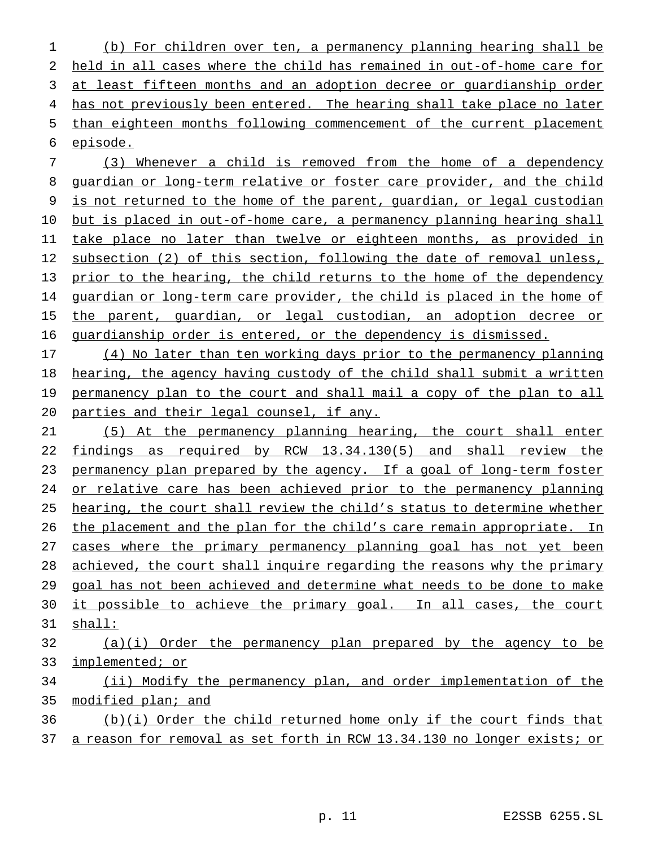(b) For children over ten, a permanency planning hearing shall be held in all cases where the child has remained in out-of-home care for at least fifteen months and an adoption decree or guardianship order 4 has not previously been entered. The hearing shall take place no later than eighteen months following commencement of the current placement episode.

 (3) Whenever a child is removed from the home of a dependency guardian or long-term relative or foster care provider, and the child is not returned to the home of the parent, guardian, or legal custodian 10 but is placed in out-of-home care, a permanency planning hearing shall take place no later than twelve or eighteen months, as provided in 12 subsection (2) of this section, following the date of removal unless, 13 prior to the hearing, the child returns to the home of the dependency guardian or long-term care provider, the child is placed in the home of 15 the parent, guardian, or legal custodian, an adoption decree or guardianship order is entered, or the dependency is dismissed.

 (4) No later than ten working days prior to the permanency planning hearing, the agency having custody of the child shall submit a written 19 permanency plan to the court and shall mail a copy of the plan to all parties and their legal counsel, if any.

 (5) At the permanency planning hearing, the court shall enter findings as required by RCW 13.34.130(5) and shall review the 23 permanency plan prepared by the agency. If a goal of long-term foster 24 or relative care has been achieved prior to the permanency planning hearing, the court shall review the child's status to determine whether the placement and the plan for the child's care remain appropriate. In 27 cases where the primary permanency planning goal has not yet been achieved, the court shall inquire regarding the reasons why the primary goal has not been achieved and determine what needs to be done to make 30 it possible to achieve the primary goal. In all cases, the court shall:

# (a)(i) Order the permanency plan prepared by the agency to be implemented; or

 (ii) Modify the permanency plan, and order implementation of the modified plan; and

 (b)(i) Order the child returned home only if the court finds that a reason for removal as set forth in RCW 13.34.130 no longer exists; or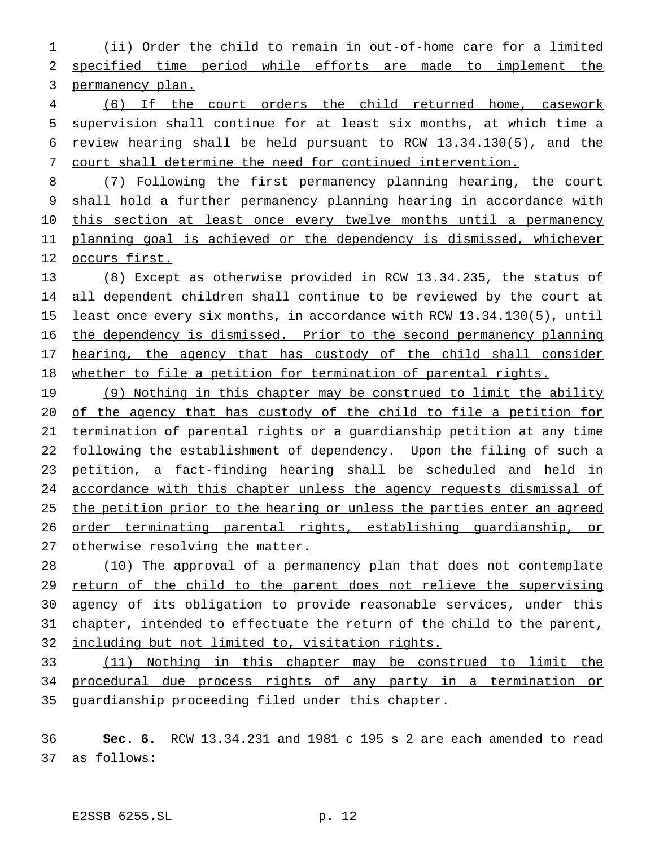(ii) Order the child to remain in out-of-home care for a limited specified time period while efforts are made to implement the permanency plan.

 (6) If the court orders the child returned home, casework supervision shall continue for at least six months, at which time a review hearing shall be held pursuant to RCW 13.34.130(5), and the court shall determine the need for continued intervention.

 (7) Following the first permanency planning hearing, the court shall hold a further permanency planning hearing in accordance with 10 this section at least once every twelve months until a permanency planning goal is achieved or the dependency is dismissed, whichever occurs first.

 (8) Except as otherwise provided in RCW 13.34.235, the status of all dependent children shall continue to be reviewed by the court at 15 least once every six months, in accordance with RCW 13.34.130(5), until the dependency is dismissed. Prior to the second permanency planning 17 hearing, the agency that has custody of the child shall consider whether to file a petition for termination of parental rights.

19 (9) Nothing in this chapter may be construed to limit the ability of the agency that has custody of the child to file a petition for termination of parental rights or a guardianship petition at any time 22 following the establishment of dependency. Upon the filing of such a petition, a fact-finding hearing shall be scheduled and held in accordance with this chapter unless the agency requests dismissal of the petition prior to the hearing or unless the parties enter an agreed order terminating parental rights, establishing guardianship, or 27 otherwise resolving the matter.

 (10) The approval of a permanency plan that does not contemplate return of the child to the parent does not relieve the supervising agency of its obligation to provide reasonable services, under this chapter, intended to effectuate the return of the child to the parent, including but not limited to, visitation rights.

 (11) Nothing in this chapter may be construed to limit the procedural due process rights of any party in a termination or guardianship proceeding filed under this chapter.

 **Sec. 6.** RCW 13.34.231 and 1981 c 195 s 2 are each amended to read as follows: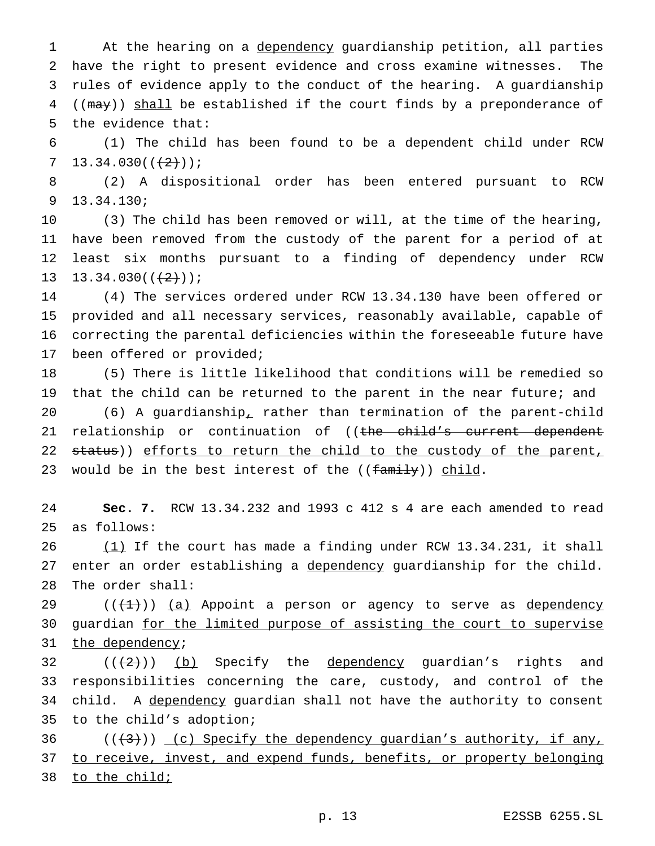1 At the hearing on a dependency guardianship petition, all parties have the right to present evidence and cross examine witnesses. The rules of evidence apply to the conduct of the hearing. A guardianship 4 ((may)) shall be established if the court finds by a preponderance of the evidence that:

 (1) The child has been found to be a dependent child under RCW 7  $13.34.030((\frac{12}{1}));$ 

 (2) A dispositional order has been entered pursuant to RCW 13.34.130;

 (3) The child has been removed or will, at the time of the hearing, have been removed from the custody of the parent for a period of at least six months pursuant to a finding of dependency under RCW 13 13.34.030( $(\frac{+2}{2})$ );

 (4) The services ordered under RCW 13.34.130 have been offered or provided and all necessary services, reasonably available, capable of correcting the parental deficiencies within the foreseeable future have been offered or provided;

 (5) There is little likelihood that conditions will be remedied so that the child can be returned to the parent in the near future; and (6) A guardianship, rather than termination of the parent-child 21 relationship or continuation of ((the child's current dependent 22 status)) efforts to return the child to the custody of the parent, 23 would be in the best interest of the  $((\text{family}))$  child.

 **Sec. 7.** RCW 13.34.232 and 1993 c 412 s 4 are each amended to read as follows:

 (1) If the court has made a finding under RCW 13.34.231, it shall 27 enter an order establishing a dependency guardianship for the child. The order shall:

 $((+1))$  (a) Appoint a person or agency to serve as dependency 30 guardian for the limited purpose of assisting the court to supervise 31 the dependency;

 $((+2))$  (b) Specify the <u>dependency</u> guardian's rights and responsibilities concerning the care, custody, and control of the 34 child. A dependency guardian shall not have the authority to consent to the child's adoption;

 ( $(\frac{43}{})$ ) (c) Specify the dependency guardian's authority, if any, 37 to receive, invest, and expend funds, benefits, or property belonging to the child;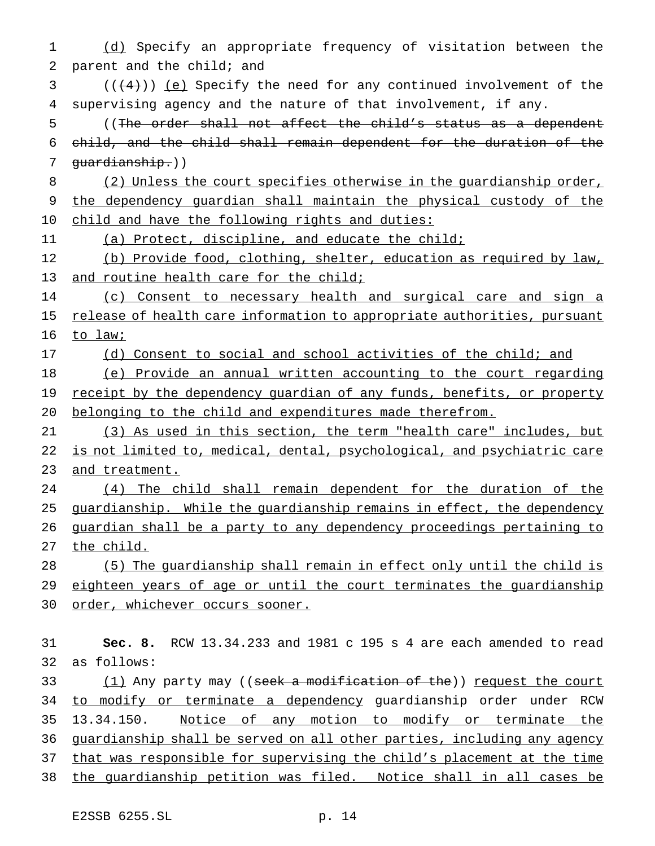(d) Specify an appropriate frequency of visitation between the parent and the child; and ( $(\frac{4}{4})$ ) (e) Specify the need for any continued involvement of the supervising agency and the nature of that involvement, if any. ((The order shall not affect the child's status as a dependent child, and the child shall remain dependent for the duration of the guardianship.)) 8 (2) Unless the court specifies otherwise in the guardianship order, 9 the dependency guardian shall maintain the physical custody of the child and have the following rights and duties: (a) Protect, discipline, and educate the child; (b) Provide food, clothing, shelter, education as required by law, 13 and routine health care for the child; 14 (c) Consent to necessary health and surgical care and sign a 15 release of health care information to appropriate authorities, pursuant 16 to law; (d) Consent to social and school activities of the child; and (e) Provide an annual written accounting to the court regarding 19 receipt by the dependency guardian of any funds, benefits, or property belonging to the child and expenditures made therefrom. (3) As used in this section, the term "health care" includes, but 22 is not limited to, medical, dental, psychological, and psychiatric care and treatment. (4) The child shall remain dependent for the duration of the 25 guardianship. While the guardianship remains in effect, the dependency guardian shall be a party to any dependency proceedings pertaining to the child. (5) The guardianship shall remain in effect only until the child is eighteen years of age or until the court terminates the guardianship 30 order, whichever occurs sooner. **Sec. 8.** RCW 13.34.233 and 1981 c 195 s 4 are each amended to read

 as follows: 33 (1) Any party may ((seek a modification of the)) request the court to modify or terminate a dependency guardianship order under RCW 13.34.150. Notice of any motion to modify or terminate the guardianship shall be served on all other parties, including any agency that was responsible for supervising the child's placement at the time the guardianship petition was filed. Notice shall in all cases be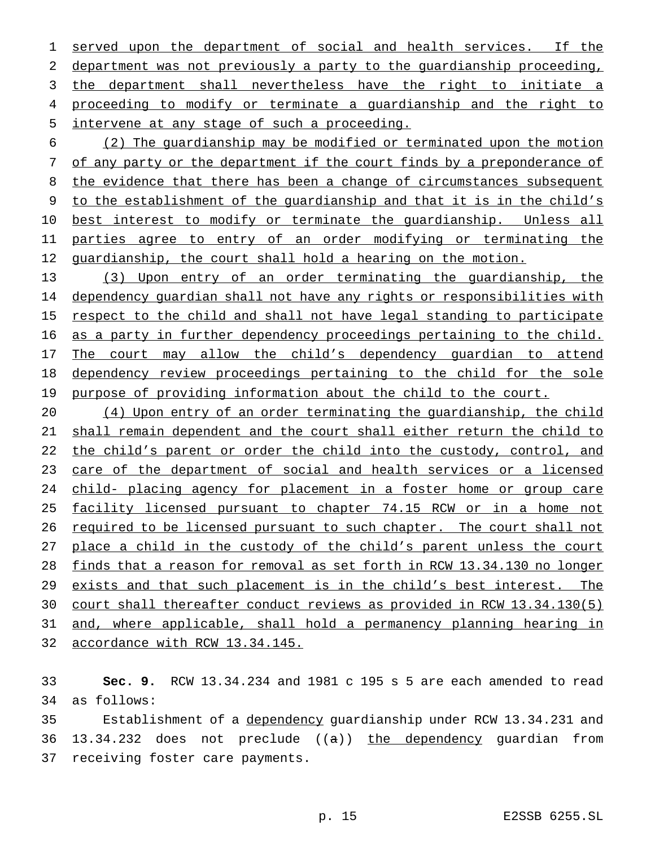served upon the department of social and health services. If the department was not previously a party to the guardianship proceeding, the department shall nevertheless have the right to initiate a proceeding to modify or terminate a guardianship and the right to intervene at any stage of such a proceeding.

 (2) The guardianship may be modified or terminated upon the motion of any party or the department if the court finds by a preponderance of the evidence that there has been a change of circumstances subsequent to the establishment of the guardianship and that it is in the child's best interest to modify or terminate the guardianship. Unless all parties agree to entry of an order modifying or terminating the 12 guardianship, the court shall hold a hearing on the motion.

 (3) Upon entry of an order terminating the guardianship, the dependency guardian shall not have any rights or responsibilities with 15 respect to the child and shall not have legal standing to participate as a party in further dependency proceedings pertaining to the child. 17 The court may allow the child's dependency guardian to attend dependency review proceedings pertaining to the child for the sole 19 purpose of providing information about the child to the court.

 (4) Upon entry of an order terminating the guardianship, the child shall remain dependent and the court shall either return the child to 22 the child's parent or order the child into the custody, control, and care of the department of social and health services or a licensed child- placing agency for placement in a foster home or group care facility licensed pursuant to chapter 74.15 RCW or in a home not 26 required to be licensed pursuant to such chapter. The court shall not 27 place a child in the custody of the child's parent unless the court finds that a reason for removal as set forth in RCW 13.34.130 no longer exists and that such placement is in the child's best interest. The court shall thereafter conduct reviews as provided in RCW 13.34.130(5) and, where applicable, shall hold a permanency planning hearing in accordance with RCW 13.34.145.

 **Sec. 9.** RCW 13.34.234 and 1981 c 195 s 5 are each amended to read as follows:

 Establishment of a dependency guardianship under RCW 13.34.231 and 36 13.34.232 does not preclude  $((a))$  the dependency guardian from receiving foster care payments.